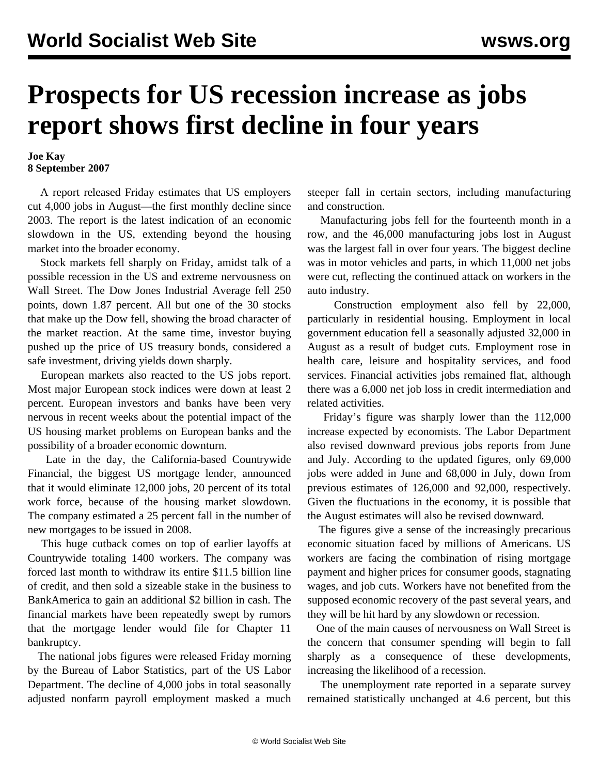## **Prospects for US recession increase as jobs report shows first decline in four years**

## **Joe Kay 8 September 2007**

 A report released Friday estimates that US employers cut 4,000 jobs in August—the first monthly decline since 2003. The report is the latest indication of an economic slowdown in the US, extending beyond the housing market into the broader economy.

 Stock markets fell sharply on Friday, amidst talk of a possible recession in the US and extreme nervousness on Wall Street. The Dow Jones Industrial Average fell 250 points, down 1.87 percent. All but one of the 30 stocks that make up the Dow fell, showing the broad character of the market reaction. At the same time, investor buying pushed up the price of US treasury bonds, considered a safe investment, driving yields down sharply.

 European markets also reacted to the US jobs report. Most major European stock indices were down at least 2 percent. European investors and banks have been very nervous in recent weeks about the potential impact of the US housing market problems on European banks and the possibility of a broader economic downturn.

 Late in the day, the California-based Countrywide Financial, the biggest US mortgage lender, announced that it would eliminate 12,000 jobs, 20 percent of its total work force, because of the housing market slowdown. The company estimated a 25 percent fall in the number of new mortgages to be issued in 2008.

 This huge cutback comes on top of earlier layoffs at Countrywide totaling 1400 workers. The company was forced last month to withdraw its entire \$11.5 billion line of credit, and then sold a sizeable stake in the business to BankAmerica to gain an additional \$2 billion in cash. The financial markets have been repeatedly swept by rumors that the mortgage lender would file for Chapter 11 bankruptcy.

 The national jobs figures were released Friday morning by the Bureau of Labor Statistics, part of the US Labor Department. The decline of 4,000 jobs in total seasonally adjusted nonfarm payroll employment masked a much steeper fall in certain sectors, including manufacturing and construction.

 Manufacturing jobs fell for the fourteenth month in a row, and the 46,000 manufacturing jobs lost in August was the largest fall in over four years. The biggest decline was in motor vehicles and parts, in which 11,000 net jobs were cut, reflecting the continued attack on workers in the auto industry.

 Construction employment also fell by 22,000, particularly in residential housing. Employment in local government education fell a seasonally adjusted 32,000 in August as a result of budget cuts. Employment rose in health care, leisure and hospitality services, and food services. Financial activities jobs remained flat, although there was a 6,000 net job loss in credit intermediation and related activities.

 Friday's figure was sharply lower than the 112,000 increase expected by economists. The Labor Department also revised downward previous jobs reports from June and July. According to the updated figures, only 69,000 jobs were added in June and 68,000 in July, down from previous estimates of 126,000 and 92,000, respectively. Given the fluctuations in the economy, it is possible that the August estimates will also be revised downward.

 The figures give a sense of the increasingly precarious economic situation faced by millions of Americans. US workers are facing the combination of rising mortgage payment and higher prices for consumer goods, stagnating wages, and job cuts. Workers have not benefited from the supposed economic recovery of the past several years, and they will be hit hard by any slowdown or recession.

 One of the main causes of nervousness on Wall Street is the concern that consumer spending will begin to fall sharply as a consequence of these developments, increasing the likelihood of a recession.

 The unemployment rate reported in a separate survey remained statistically unchanged at 4.6 percent, but this